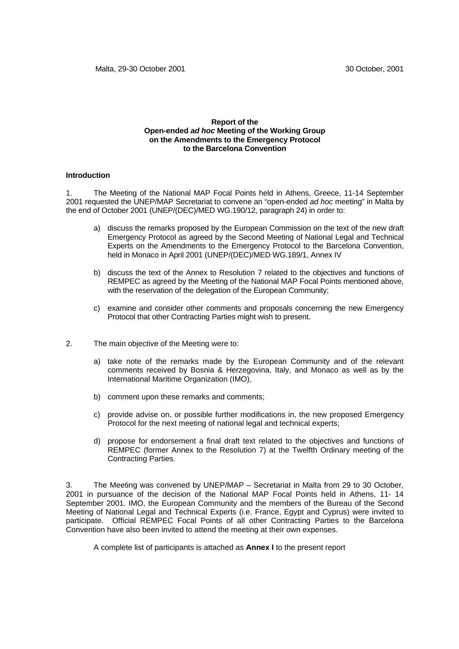#### **Report of the Open-ended** *ad hoc* **Meeting of the Working Group on the Amendments to the Emergency Protocol to the Barcelona Convention**

#### **Introduction**

1. The Meeting of the National MAP Focal Points held in Athens, Greece, 11-14 September 2001 requested the UNEP/MAP Secretariat to convene an "open-ended *ad hoc* meeting" in Malta by the end of October 2001 (UNEP/(DEC)/MED WG.190/12, paragraph 24) in order to:

- a) discuss the remarks proposed by the European Commission on the text of the new draft Emergency Protocol as agreed by the Second Meeting of National Legal and Technical Experts on the Amendments to the Emergency Protocol to the Barcelona Convention, held in Monaco in April 2001 (UNEP/(DEC)/MED WG.189/1, Annex IV
- b) discuss the text of the Annex to Resolution 7 related to the objectives and functions of REMPEC as agreed by the Meeting of the National MAP Focal Points mentioned above, with the reservation of the delegation of the European Community;
- c) examine and consider other comments and proposals concerning the new Emergency Protocol that other Contracting Parties might wish to present.
- 2. The main objective of the Meeting were to:
	- a) take note of the remarks made by the European Community and of the relevant comments received by Bosnia & Herzegovina, Italy, and Monaco as well as by the International Maritime Organization (IMO),
	- b) comment upon these remarks and comments;
	- c) provide advise on, or possible further modifications in, the new proposed Emergency Protocol for the next meeting of national legal and technical experts;
	- d) propose for endorsement a final draft text related to the objectives and functions of REMPEC (former Annex to the Resolution 7) at the Twelfth Ordinary meeting of the Contracting Parties.

3. The Meeting was convened by UNEP/MAP – Secretariat in Malta from 29 to 30 October, 2001 in pursuance of the decision of the National MAP Focal Points held in Athens, 11- 14 September 2001. IMO, the European Community and the members of the Bureau of the Second Meeting of National Legal and Technical Experts (i.e. France, Egypt and Cyprus) were invited to participate. Official REMPEC Focal Points of all other Contracting Parties to the Barcelona Convention have also been invited to attend the meeting at their own expenses.

A complete list of participants is attached as **Annex I** to the present report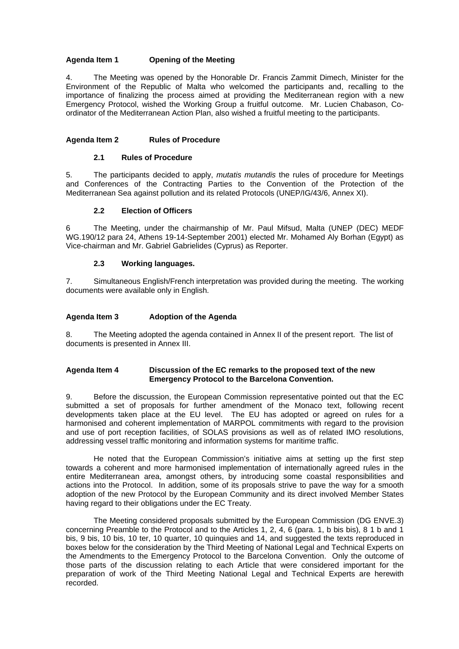### **Agenda Item 1 Opening of the Meeting**

4. The Meeting was opened by the Honorable Dr. Francis Zammit Dimech, Minister for the Environment of the Republic of Malta who welcomed the participants and, recalling to the importance of finalizing the process aimed at providing the Mediterranean region with a new Emergency Protocol, wished the Working Group a fruitful outcome. Mr. Lucien Chabason, Coordinator of the Mediterranean Action Plan, also wished a fruitful meeting to the participants.

#### **Agenda Item 2 Rules of Procedure**

# **2.1 Rules of Procedure**

5. The participants decided to apply, *mutatis mutandis* the rules of procedure for Meetings and Conferences of the Contracting Parties to the Convention of the Protection of the Mediterranean Sea against pollution and its related Protocols (UNEP/IG/43/6, Annex XI).

### **2.2 Election of Officers**

6 The Meeting, under the chairmanship of Mr. Paul Mifsud, Malta (UNEP (DEC) MEDF WG.190/12 para 24, Athens 19-14-September 2001) elected Mr. Mohamed Aly Borhan (Egypt) as Vice-chairman and Mr. Gabriel Gabrielides (Cyprus) as Reporter.

### **2.3 Working languages.**

7. Simultaneous English/French interpretation was provided during the meeting. The working documents were available only in English.

### **Agenda Item 3 Adoption of the Agenda**

8. The Meeting adopted the agenda contained in Annex II of the present report. The list of documents is presented in Annex III.

### **Agenda Item 4 Discussion of the EC remarks to the proposed text of the new Emergency Protocol to the Barcelona Convention.**

9. Before the discussion, the European Commission representative pointed out that the EC submitted a set of proposals for further amendment of the Monaco text, following recent developments taken place at the EU level. The EU has adopted or agreed on rules for a harmonised and coherent implementation of MARPOL commitments with regard to the provision and use of port reception facilities, of SOLAS provisions as well as of related IMO resolutions, addressing vessel traffic monitoring and information systems for maritime traffic.

He noted that the European Commission's initiative aims at setting up the first step towards a coherent and more harmonised implementation of internationally agreed rules in the entire Mediterranean area, amongst others, by introducing some coastal responsibilities and actions into the Protocol. In addition, some of its proposals strive to pave the way for a smooth adoption of the new Protocol by the European Community and its direct involved Member States having regard to their obligations under the EC Treaty.

The Meeting considered proposals submitted by the European Commission (DG ENVE.3) concerning Preamble to the Protocol and to the Articles 1, 2, 4, 6 (para. 1, b bis bis), 8 1 b and 1 bis, 9 bis, 10 bis, 10 ter, 10 quarter, 10 quinquies and 14, and suggested the texts reproduced in boxes below for the consideration by the Third Meeting of National Legal and Technical Experts on the Amendments to the Emergency Protocol to the Barcelona Convention. Only the outcome of those parts of the discussion relating to each Article that were considered important for the preparation of work of the Third Meeting National Legal and Technical Experts are herewith recorded.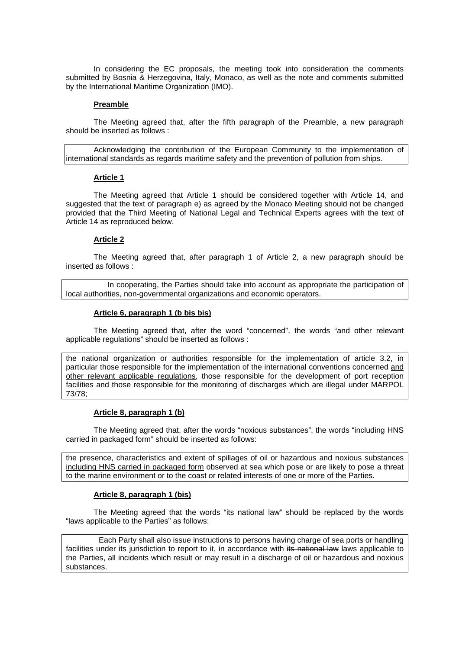In considering the EC proposals, the meeting took into consideration the comments submitted by Bosnia & Herzegovina, Italy, Monaco, as well as the note and comments submitted by the International Maritime Organization (IMO).

#### **Preamble**

The Meeting agreed that, after the fifth paragraph of the Preamble, a new paragraph should be inserted as follows :

Acknowledging the contribution of the European Community to the implementation of international standards as regards maritime safety and the prevention of pollution from ships.

#### **Article 1**

The Meeting agreed that Article 1 should be considered together with Article 14, and suggested that the text of paragraph e) as agreed by the Monaco Meeting should not be changed provided that the Third Meeting of National Legal and Technical Experts agrees with the text of Article 14 as reproduced below.

#### **Article 2**

 The Meeting agreed that, after paragraph 1 of Article 2, a new paragraph should be inserted as follows :

In cooperating, the Parties should take into account as appropriate the participation of local authorities, non-governmental organizations and economic operators.

#### **Article 6, paragraph 1 (b bis bis)**

 The Meeting agreed that, after the word "concerned", the words "and other relevant applicable regulations" should be inserted as follows :

the national organization or authorities responsible for the implementation of article 3.2, in particular those responsible for the implementation of the international conventions concerned and other relevant applicable regulations, those responsible for the development of port reception facilities and those responsible for the monitoring of discharges which are illegal under MARPOL 73/78;

#### **Article 8, paragraph 1 (b)**

The Meeting agreed that, after the words "noxious substances", the words "including HNS carried in packaged form" should be inserted as follows:

the presence, characteristics and extent of spillages of oil or hazardous and noxious substances including HNS carried in packaged form observed at sea which pose or are likely to pose a threat to the marine environment or to the coast or related interests of one or more of the Parties.

#### **Article 8, paragraph 1 (bis)**

The Meeting agreed that the words "its national law" should be replaced by the words "laws applicable to the Parties" as follows:

 Each Party shall also issue instructions to persons having charge of sea ports or handling facilities under its jurisdiction to report to it, in accordance with its national law laws applicable to the Parties, all incidents which result or may result in a discharge of oil or hazardous and noxious substances.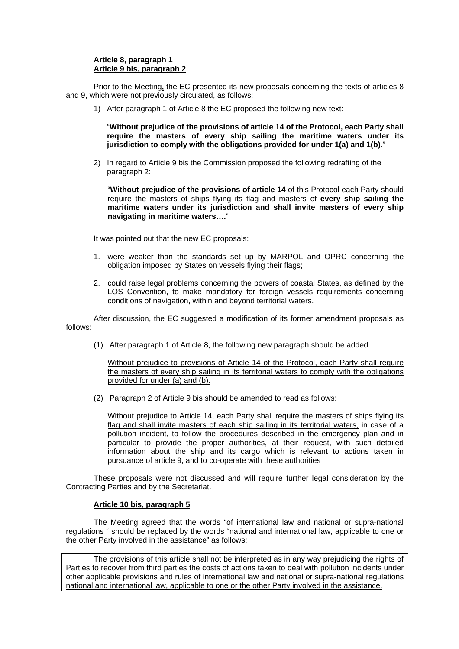### **Article 8, paragraph 1 Article 9 bis, paragraph 2**

Prior to the Meeting**,** the EC presented its new proposals concerning the texts of articles 8 and 9, which were not previously circulated, as follows:

1) After paragraph 1 of Article 8 the EC proposed the following new text:

"**Without prejudice of the provisions of article 14 of the Protocol, each Party shall require the masters of every ship sailing the maritime waters under its jurisdiction to comply with the obligations provided for under 1(a) and 1(b)**."

2) In regard to Article 9 bis the Commission proposed the following redrafting of the paragraph 2:

"**Without prejudice of the provisions of article 14** of this Protocol each Party should require the masters of ships flying its flag and masters of **every ship sailing the maritime waters under its jurisdiction and shall invite masters of every ship navigating in maritime waters….**"

It was pointed out that the new EC proposals:

- 1. were weaker than the standards set up by MARPOL and OPRC concerning the obligation imposed by States on vessels flying their flags;
- 2. could raise legal problems concerning the powers of coastal States, as defined by the LOS Convention, to make mandatory for foreign vessels requirements concerning conditions of navigation, within and beyond territorial waters.

After discussion, the EC suggested a modification of its former amendment proposals as follows:

(1) After paragraph 1 of Article 8, the following new paragraph should be added

Without prejudice to provisions of Article 14 of the Protocol, each Party shall require the masters of every ship sailing in its territorial waters to comply with the obligations provided for under (a) and (b).

(2) Paragraph 2 of Article 9 bis should be amended to read as follows:

Without prejudice to Article 14, each Party shall require the masters of ships flying its flag and shall invite masters of each ship sailing in its territorial waters, in case of a pollution incident, to follow the procedures described in the emergency plan and in particular to provide the proper authorities, at their request, with such detailed information about the ship and its cargo which is relevant to actions taken in pursuance of article 9, and to co-operate with these authorities

These proposals were not discussed and will require further legal consideration by the Contracting Parties and by the Secretariat.

## **Article 10 bis, paragraph 5**

The Meeting agreed that the words "of international law and national or supra-national regulations " should be replaced by the words "national and international law, applicable to one or the other Party involved in the assistance" as follows:

The provisions of this article shall not be interpreted as in any way prejudicing the rights of Parties to recover from third parties the costs of actions taken to deal with pollution incidents under other applicable provisions and rules of international law and national or supra-national regulations national and international law, applicable to one or the other Party involved in the assistance.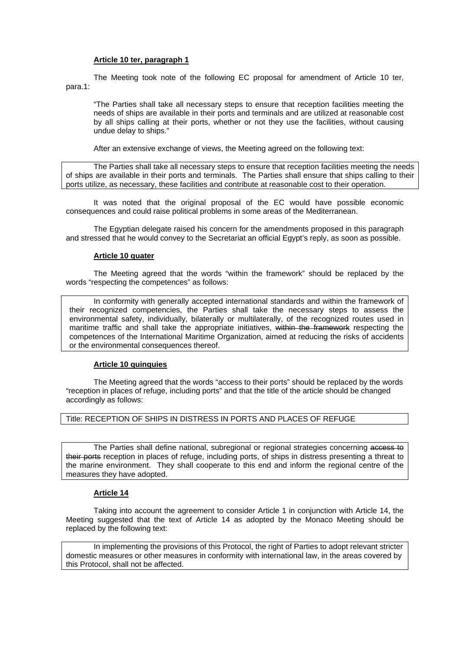#### **Article 10 ter, paragraph 1**

 The Meeting took note of the following EC proposal for amendment of Article 10 ter, para.1:

"The Parties shall take all necessary steps to ensure that reception facilities meeting the needs of ships are available in their ports and terminals and are utilized at reasonable cost by all ships calling at their ports, whether or not they use the facilities, without causing undue delay to ships."

After an extensive exchange of views, the Meeting agreed on the following text:

The Parties shall take all necessary steps to ensure that reception facilities meeting the needs of ships are available in their ports and terminals. The Parties shall ensure that ships calling to their ports utilize, as necessary, these facilities and contribute at reasonable cost to their operation.

 It was noted that the original proposal of the EC would have possible economic consequences and could raise political problems in some areas of the Mediterranean.

 The Egyptian delegate raised his concern for the amendments proposed in this paragraph and stressed that he would convey to the Secretariat an official Egypt's reply, as soon as possible.

### **Article 10 quater**

 The Meeting agreed that the words "within the framework" should be replaced by the words "respecting the competences" as follows:

In conformity with generally accepted international standards and within the framework of their recognized competencies, the Parties shall take the necessary steps to assess the environmental safety, individually, bilaterally or multilaterally, of the recognized routes used in maritime traffic and shall take the appropriate initiatives, within the framework respecting the competences of the International Maritime Organization, aimed at reducing the risks of accidents or the environmental consequences thereof.

## **Article 10 quinquies**

 The Meeting agreed that the words "access to their ports" should be replaced by the words "reception in places of refuge, including ports" and that the title of the article should be changed accordingly as follows:

## Title: RECEPTION OF SHIPS IN DISTRESS IN PORTS AND PLACES OF REFUGE

The Parties shall define national, subregional or regional strategies concerning access to their ports reception in places of refuge, including ports, of ships in distress presenting a threat to the marine environment. They shall cooperate to this end and inform the regional centre of the measures they have adopted.

## **Article 14**

 Taking into account the agreement to consider Article 1 in conjunction with Article 14, the Meeting suggested that the text of Article 14 as adopted by the Monaco Meeting should be replaced by the following text:

 In implementing the provisions of this Protocol, the right of Parties to adopt relevant stricter domestic measures or other measures in conformity with international law, in the areas covered by this Protocol, shall not be affected.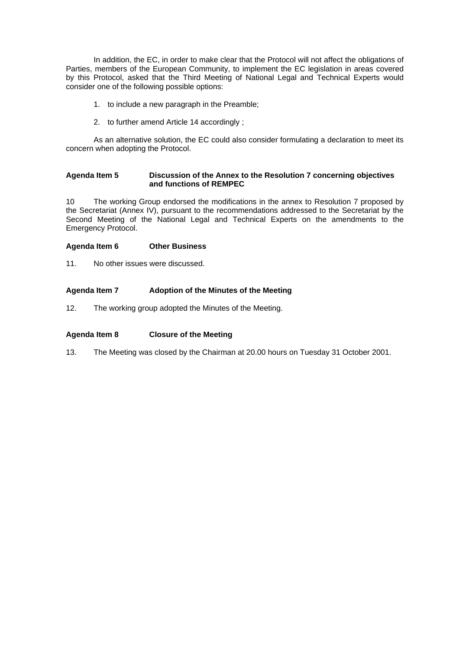In addition, the EC, in order to make clear that the Protocol will not affect the obligations of Parties, members of the European Community, to implement the EC legislation in areas covered by this Protocol, asked that the Third Meeting of National Legal and Technical Experts would consider one of the following possible options:

- 1. to include a new paragraph in the Preamble;
- 2. to further amend Article 14 accordingly ;

 As an alternative solution, the EC could also consider formulating a declaration to meet its concern when adopting the Protocol.

#### **Agenda Item 5 Discussion of the Annex to the Resolution 7 concerning objectives and functions of REMPEC**

10 The working Group endorsed the modifications in the annex to Resolution 7 proposed by the Secretariat (Annex IV), pursuant to the recommendations addressed to the Secretariat by the Second Meeting of the National Legal and Technical Experts on the amendments to the Emergency Protocol.

### **Agenda Item 6 Other Business**

11. No other issues were discussed.

### **Agenda Item 7 Adoption of the Minutes of the Meeting**

12. The working group adopted the Minutes of the Meeting.

# **Agenda Item 8 Closure of the Meeting**

13. The Meeting was closed by the Chairman at 20.00 hours on Tuesday 31 October 2001.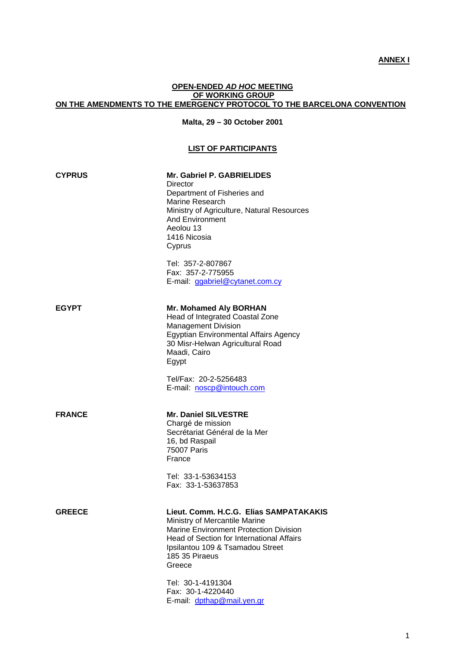## **ANNEX I**

# **OPEN-ENDED** *AD HOC* **MEETING OF WORKING GROUP ON THE AMENDMENTS TO THE EMERGENCY PROTOCOL TO THE BARCELONA CONVENTION**

## **Malta, 29 – 30 October 2001**

## **LIST OF PARTICIPANTS**

| <b>CYPRUS</b> | Mr. Gabriel P. GABRIELIDES<br>Director<br>Department of Fisheries and<br>Marine Research<br>Ministry of Agriculture, Natural Resources<br><b>And Environment</b><br>Aeolou 13<br>1416 Nicosia<br>Cyprus                                                                                |
|---------------|----------------------------------------------------------------------------------------------------------------------------------------------------------------------------------------------------------------------------------------------------------------------------------------|
|               | Tel: 357-2-807867<br>Fax: 357-2-775955<br>E-mail: ggabriel@cytanet.com.cy                                                                                                                                                                                                              |
| <b>EGYPT</b>  | <b>Mr. Mohamed Aly BORHAN</b><br>Head of Integrated Coastal Zone<br><b>Management Division</b><br>Egyptian Environmental Affairs Agency<br>30 Misr-Helwan Agricultural Road<br>Maadi, Cairo<br>Egypt                                                                                   |
|               | Tel/Fax: 20-2-5256483<br>E-mail: noscp@intouch.com                                                                                                                                                                                                                                     |
| <b>FRANCE</b> | <b>Mr. Daniel SILVESTRE</b><br>Chargé de mission<br>Secrétariat Général de la Mer<br>16, bd Raspail<br><b>75007 Paris</b><br>France                                                                                                                                                    |
|               | Tel: 33-1-53634153<br>Fax: 33-1-53637853                                                                                                                                                                                                                                               |
| <b>GREECE</b> | Lieut. Comm. H.C.G. Elias SAMPATAKAKIS<br>Ministry of Mercantile Marine<br><b>Marine Environment Protection Division</b><br><b>Head of Section for International Affairs</b><br>Ipsilantou 109 & Tsamadou Street<br>185 35 Piraeus<br>Greece<br>Tel: 30-1-4191304<br>Fax: 30-1-4220440 |
|               | E-mail: dpthap@mail.yen.gr                                                                                                                                                                                                                                                             |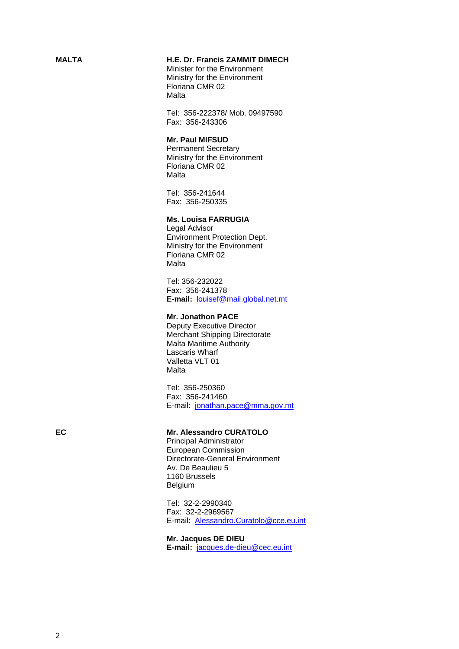## **MALTA H.E. Dr. Francis ZAMMIT DIMECH**

Minister for the Environment Ministry for the Environment Floriana CMR 02 **Malta** 

Tel: 356-222378/ Mob. 09497590 Fax: 356-243306

## **Mr. Paul MIFSUD**

Permanent Secretary Ministry for the Environment Floriana CMR 02 Malta

Tel: 356-241644 Fax: 356-250335

#### **Ms. Louisa FARRUGIA**

Legal Advisor Environment Protection Dept. Ministry for the Environment Floriana CMR 02 Malta

 Tel: 356-232022 Fax: 356-241378 **E-mail:** louisef@mail.global.net.mt

# **Mr. Jonathon PACE**

Deputy Executive Director Merchant Shipping Directorate Malta Maritime Authority Lascaris Wharf Valletta VLT 01 **Malta** 

Tel: 356-250360 Fax: 356-241460 E-mail: jonathan.pace@mma.gov.mt

**EC** Mr. Alessandro CURATOLO

 Principal Administrator European Commission Directorate-General Environment Av. De Beaulieu 5 1160 Brussels Belgium

 Tel: 32-2-2990340 Fax: 32-2-2969567 E-mail: Alessandro.Curatolo@cce.eu.int

 **Mr. Jacques DE DIEU E-mail:** jacques.de-dieu@cec.eu.int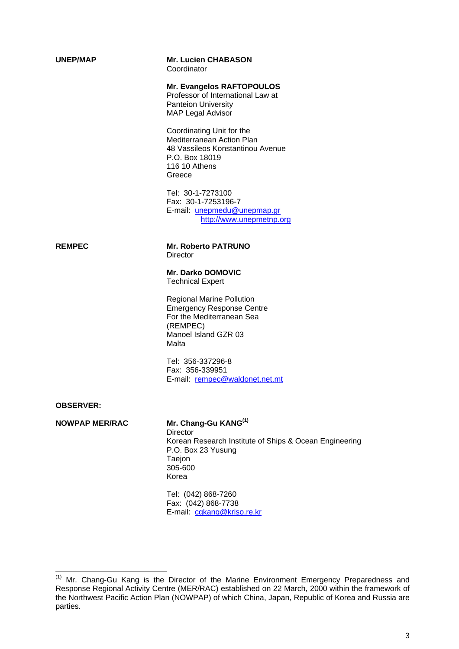| <b>UNEP/MAP</b>       | <b>Mr. Lucien CHABASON</b><br>Coordinator                                                                                                                         |
|-----------------------|-------------------------------------------------------------------------------------------------------------------------------------------------------------------|
|                       | Mr. Evangelos RAFTOPOULOS<br>Professor of International Law at<br><b>Panteion University</b><br><b>MAP Legal Advisor</b>                                          |
|                       | Coordinating Unit for the<br><b>Mediterranean Action Plan</b><br>48 Vassileos Konstantinou Avenue<br>P.O. Box 18019<br>116 10 Athens<br>Greece                    |
|                       | Tel: 30-1-7273100<br>Fax: 30-1-7253196-7<br>E-mail: unepmedu@unepmap.gr<br>http://www.unepmetnp.org                                                               |
| <b>REMPEC</b>         | <b>Mr. Roberto PATRUNO</b><br><b>Director</b>                                                                                                                     |
|                       | <b>Mr. Darko DOMOVIC</b><br><b>Technical Expert</b>                                                                                                               |
|                       | <b>Regional Marine Pollution</b><br><b>Emergency Response Centre</b><br>For the Mediterranean Sea<br>(REMPEC)<br>Manoel Island GZR 03<br>Malta                    |
|                       | Tel: 356-337296-8<br>Fax: 356-339951<br>E-mail: rempec@waldonet.net.mt                                                                                            |
| <b>OBSERVER:</b>      |                                                                                                                                                                   |
| <b>NOWPAP MER/RAC</b> | Mr. Chang-Gu KANG <sup>(1)</sup><br><b>Director</b><br>Korean Research Institute of Ships & Ocean Engineering<br>P.O. Box 23 Yusung<br>Taejon<br>305-600<br>Korea |

 Tel: (042) 868-7260 Fax: (042) 868-7738 E-mail: cgkang@kriso.re.kr

<sup>(1)&</sup>lt;br>(1) Mr. Chang-Gu Kang is the Director of the Marine Environment Emergency Preparedness and Response Regional Activity Centre (MER/RAC) established on 22 March, 2000 within the framework of the Northwest Pacific Action Plan (NOWPAP) of which China, Japan, Republic of Korea and Russia are parties.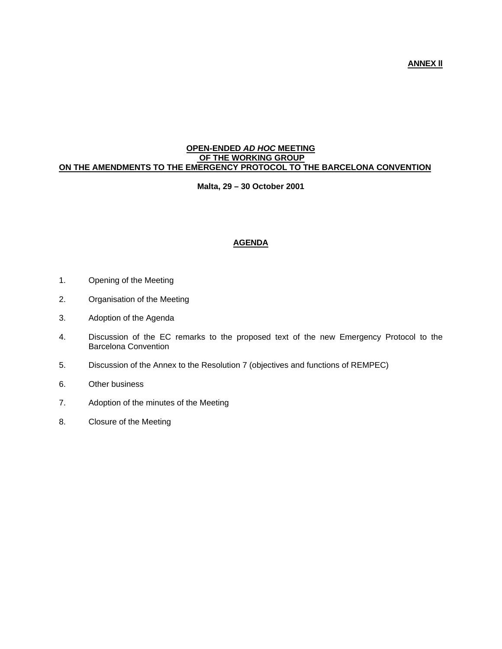#### **OPEN-ENDED** *AD HOC* **MEETING OF THE WORKING GROUP ON THE AMENDMENTS TO THE EMERGENCY PROTOCOL TO THE BARCELONA CONVENTION**

#### **Malta, 29 – 30 October 2001**

# **AGENDA**

- 1. Opening of the Meeting
- 2. Organisation of the Meeting
- 3. Adoption of the Agenda
- 4. Discussion of the EC remarks to the proposed text of the new Emergency Protocol to the Barcelona Convention
- 5. Discussion of the Annex to the Resolution 7 (objectives and functions of REMPEC)
- 6. Other business
- 7. Adoption of the minutes of the Meeting
- 8. Closure of the Meeting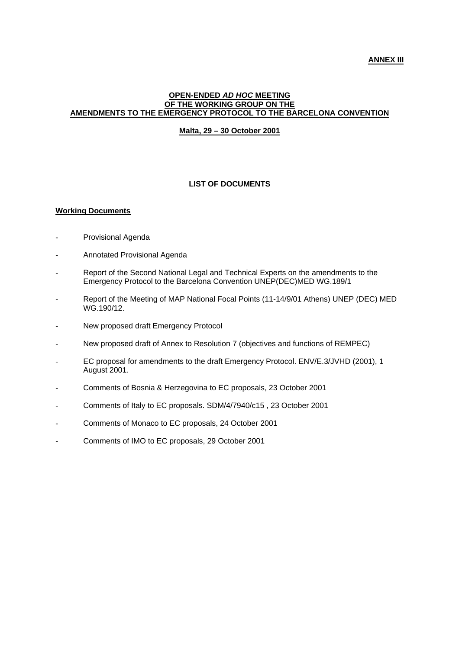#### **OPEN-ENDED** *AD HOC* **MEETING OF THE WORKING GROUP ON THE AMENDMENTS TO THE EMERGENCY PROTOCOL TO THE BARCELONA CONVENTION**

### **Malta, 29 – 30 October 2001**

## **LIST OF DOCUMENTS**

### **Working Documents**

- Provisional Agenda
- Annotated Provisional Agenda
- Report of the Second National Legal and Technical Experts on the amendments to the Emergency Protocol to the Barcelona Convention UNEP(DEC)MED WG.189/1
- Report of the Meeting of MAP National Focal Points (11-14/9/01 Athens) UNEP (DEC) MED WG.190/12.
- New proposed draft Emergency Protocol
- New proposed draft of Annex to Resolution 7 (objectives and functions of REMPEC)
- EC proposal for amendments to the draft Emergency Protocol. ENV/E.3/JVHD (2001), 1 August 2001.
- Comments of Bosnia & Herzegovina to EC proposals, 23 October 2001
- Comments of Italy to EC proposals. SDM/4/7940/c15 , 23 October 2001
- Comments of Monaco to EC proposals, 24 October 2001
- Comments of IMO to EC proposals, 29 October 2001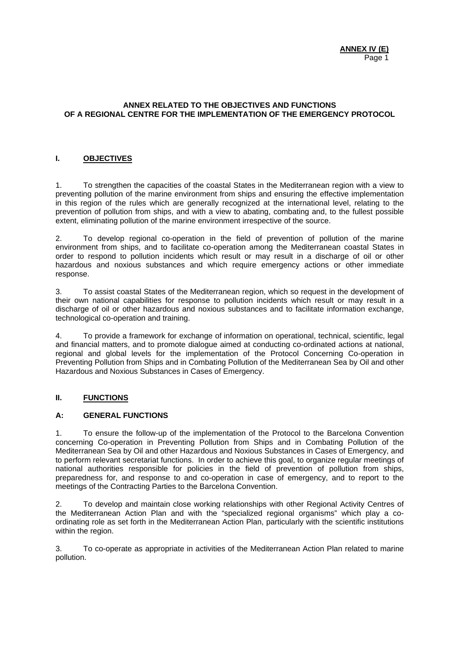### **ANNEX RELATED TO THE OBJECTIVES AND FUNCTIONS OF A REGIONAL CENTRE FOR THE IMPLEMENTATION OF THE EMERGENCY PROTOCOL**

# **I. OBJECTIVES**

1. To strengthen the capacities of the coastal States in the Mediterranean region with a view to preventing pollution of the marine environment from ships and ensuring the effective implementation in this region of the rules which are generally recognized at the international level, relating to the prevention of pollution from ships, and with a view to abating, combating and, to the fullest possible extent, eliminating pollution of the marine environment irrespective of the source.

2. To develop regional co-operation in the field of prevention of pollution of the marine environment from ships, and to facilitate co-operation among the Mediterranean coastal States in order to respond to pollution incidents which result or may result in a discharge of oil or other hazardous and noxious substances and which require emergency actions or other immediate response.

3. To assist coastal States of the Mediterranean region, which so request in the development of their own national capabilities for response to pollution incidents which result or may result in a discharge of oil or other hazardous and noxious substances and to facilitate information exchange, technological co-operation and training.

4. To provide a framework for exchange of information on operational, technical, scientific, legal and financial matters, and to promote dialogue aimed at conducting co-ordinated actions at national, regional and global levels for the implementation of the Protocol Concerning Co-operation in Preventing Pollution from Ships and in Combating Pollution of the Mediterranean Sea by Oil and other Hazardous and Noxious Substances in Cases of Emergency.

# **II. FUNCTIONS**

## **A: GENERAL FUNCTIONS**

1. To ensure the follow-up of the implementation of the Protocol to the Barcelona Convention concerning Co-operation in Preventing Pollution from Ships and in Combating Pollution of the Mediterranean Sea by Oil and other Hazardous and Noxious Substances in Cases of Emergency, and to perform relevant secretariat functions. In order to achieve this goal, to organize regular meetings of national authorities responsible for policies in the field of prevention of pollution from ships, preparedness for, and response to and co-operation in case of emergency, and to report to the meetings of the Contracting Parties to the Barcelona Convention.

2. To develop and maintain close working relationships with other Regional Activity Centres of the Mediterranean Action Plan and with the "specialized regional organisms" which play a coordinating role as set forth in the Mediterranean Action Plan, particularly with the scientific institutions within the region.

3. To co-operate as appropriate in activities of the Mediterranean Action Plan related to marine pollution.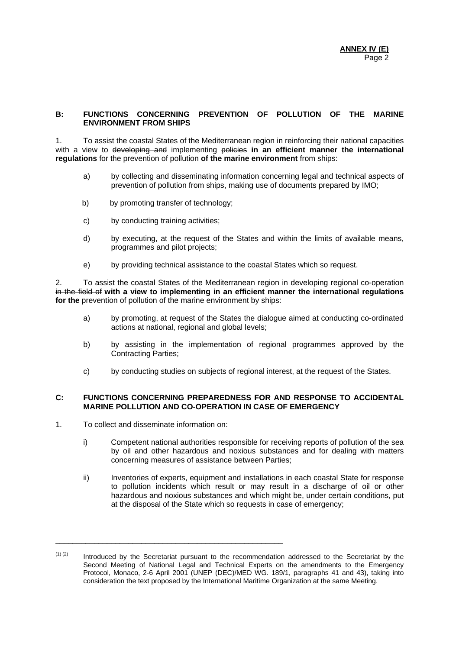### **B: FUNCTIONS CONCERNING PREVENTION OF POLLUTION OF THE MARINE ENVIRONMENT FROM SHIPS**

1. To assist the coastal States of the Mediterranean region in reinforcing their national capacities with a view to developing and implementing policies in an efficient manner the international **regulations** for the prevention of pollution **of the marine environment** from ships:

- a) by collecting and disseminating information concerning legal and technical aspects of prevention of pollution from ships, making use of documents prepared by IMO;
- b) by promoting transfer of technology;
- c) by conducting training activities;
- d) by executing, at the request of the States and within the limits of available means, programmes and pilot projects;
- e) by providing technical assistance to the coastal States which so request.

2. To assist the coastal States of the Mediterranean region in developing regional co-operation in the field of **with a view to implementing in an efficient manner the international regulations for the** prevention of pollution of the marine environment by ships:

- a) by promoting, at request of the States the dialogue aimed at conducting co-ordinated actions at national, regional and global levels;
- b) by assisting in the implementation of regional programmes approved by the Contracting Parties;
- c) by conducting studies on subjects of regional interest, at the request of the States.

## **C: FUNCTIONS CONCERNING PREPAREDNESS FOR AND RESPONSE TO ACCIDENTAL MARINE POLLUTION AND CO-OPERATION IN CASE OF EMERGENCY**

1. To collect and disseminate information on:

\_\_\_\_\_\_\_\_\_\_\_\_\_\_\_\_\_\_\_\_\_\_\_\_\_\_\_\_\_\_\_\_\_\_\_\_\_\_\_\_\_\_\_\_\_\_\_\_\_\_\_\_\_

- i) Competent national authorities responsible for receiving reports of pollution of the sea by oil and other hazardous and noxious substances and for dealing with matters concerning measures of assistance between Parties;
- ii) Inventories of experts, equipment and installations in each coastal State for response to pollution incidents which result or may result in a discharge of oil or other hazardous and noxious substances and which might be, under certain conditions, put at the disposal of the State which so requests in case of emergency;

 $(1)$  (2) Introduced by the Secretariat pursuant to the recommendation addressed to the Secretariat by the Second Meeting of National Legal and Technical Experts on the amendments to the Emergency Protocol, Monaco, 2-6 April 2001 (UNEP (DEC)/MED WG. 189/1, paragraphs 41 and 43), taking into consideration the text proposed by the International Maritime Organization at the same Meeting.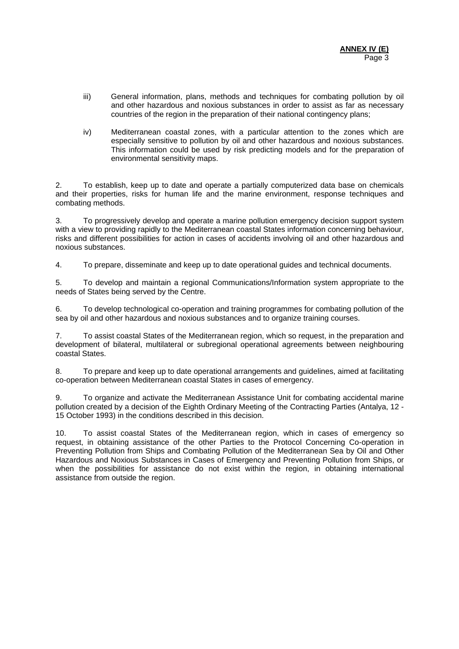- iii) General information, plans, methods and techniques for combating pollution by oil and other hazardous and noxious substances in order to assist as far as necessary countries of the region in the preparation of their national contingency plans;
- iv) Mediterranean coastal zones, with a particular attention to the zones which are especially sensitive to pollution by oil and other hazardous and noxious substances. This information could be used by risk predicting models and for the preparation of environmental sensitivity maps.

2. To establish, keep up to date and operate a partially computerized data base on chemicals and their properties, risks for human life and the marine environment, response techniques and combating methods.

3. To progressively develop and operate a marine pollution emergency decision support system with a view to providing rapidly to the Mediterranean coastal States information concerning behaviour, risks and different possibilities for action in cases of accidents involving oil and other hazardous and noxious substances.

4. To prepare, disseminate and keep up to date operational guides and technical documents.

5. To develop and maintain a regional Communications/Information system appropriate to the needs of States being served by the Centre.

6. To develop technological co-operation and training programmes for combating pollution of the sea by oil and other hazardous and noxious substances and to organize training courses.

7. To assist coastal States of the Mediterranean region, which so request, in the preparation and development of bilateral, multilateral or subregional operational agreements between neighbouring coastal States.

8. To prepare and keep up to date operational arrangements and guidelines, aimed at facilitating co-operation between Mediterranean coastal States in cases of emergency.

9. To organize and activate the Mediterranean Assistance Unit for combating accidental marine pollution created by a decision of the Eighth Ordinary Meeting of the Contracting Parties (Antalya, 12 - 15 October 1993) in the conditions described in this decision.

10. To assist coastal States of the Mediterranean region, which in cases of emergency so request, in obtaining assistance of the other Parties to the Protocol Concerning Co-operation in Preventing Pollution from Ships and Combating Pollution of the Mediterranean Sea by Oil and Other Hazardous and Noxious Substances in Cases of Emergency and Preventing Pollution from Ships, or when the possibilities for assistance do not exist within the region, in obtaining international assistance from outside the region.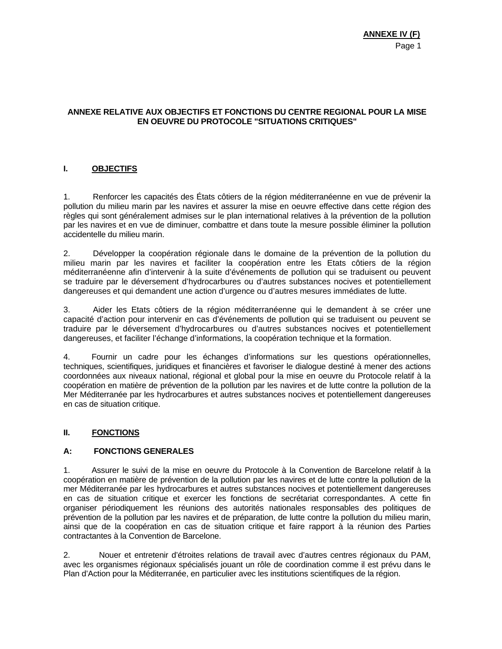## **ANNEXE RELATIVE AUX OBJECTIFS ET FONCTIONS DU CENTRE REGIONAL POUR LA MISE EN OEUVRE DU PROTOCOLE "SITUATIONS CRITIQUES"**

# **I. OBJECTIFS**

1. Renforcer les capacités des États côtiers de la région méditerranéenne en vue de prévenir la pollution du milieu marin par les navires et assurer la mise en oeuvre effective dans cette région des règles qui sont généralement admises sur le plan international relatives à la prévention de la pollution par les navires et en vue de diminuer, combattre et dans toute la mesure possible éliminer la pollution accidentelle du milieu marin.

2. Développer la coopération régionale dans le domaine de la prévention de la pollution du milieu marin par les navires et faciliter la coopération entre les Etats côtiers de la région méditerranéenne afin d'intervenir à la suite d'événements de pollution qui se traduisent ou peuvent se traduire par le déversement d'hydrocarbures ou d'autres substances nocives et potentiellement dangereuses et qui demandent une action d'urgence ou d'autres mesures immédiates de lutte.

3. Aider les Etats côtiers de la région méditerranéenne qui le demandent à se créer une capacité d'action pour intervenir en cas d'événements de pollution qui se traduisent ou peuvent se traduire par le déversement d'hydrocarbures ou d'autres substances nocives et potentiellement dangereuses, et faciliter l'échange d'informations, la coopération technique et la formation.

4. Fournir un cadre pour les échanges d'informations sur les questions opérationnelles, techniques, scientifiques, juridiques et financières et favoriser le dialogue destiné à mener des actions coordonnées aux niveaux national, régional et global pour la mise en oeuvre du Protocole relatif à la coopération en matière de prévention de la pollution par les navires et de lutte contre la pollution de la Mer Méditerranée par les hydrocarbures et autres substances nocives et potentiellement dangereuses en cas de situation critique.

## **II. FONCTIONS**

## **A: FONCTIONS GENERALES**

1. Assurer le suivi de la mise en oeuvre du Protocole à la Convention de Barcelone relatif à la coopération en matière de prévention de la pollution par les navires et de lutte contre la pollution de la mer Méditerranée par les hydrocarbures et autres substances nocives et potentiellement dangereuses en cas de situation critique et exercer les fonctions de secrétariat correspondantes. A cette fin organiser périodiquement les réunions des autorités nationales responsables des politiques de prévention de la pollution par les navires et de préparation, de lutte contre la pollution du milieu marin, ainsi que de la coopération en cas de situation critique et faire rapport à la réunion des Parties contractantes à la Convention de Barcelone.

2. Nouer et entretenir d'étroites relations de travail avec d'autres centres régionaux du PAM, avec les organismes régionaux spécialisés jouant un rôle de coordination comme il est prévu dans le Plan d'Action pour la Méditerranée, en particulier avec les institutions scientifiques de la région.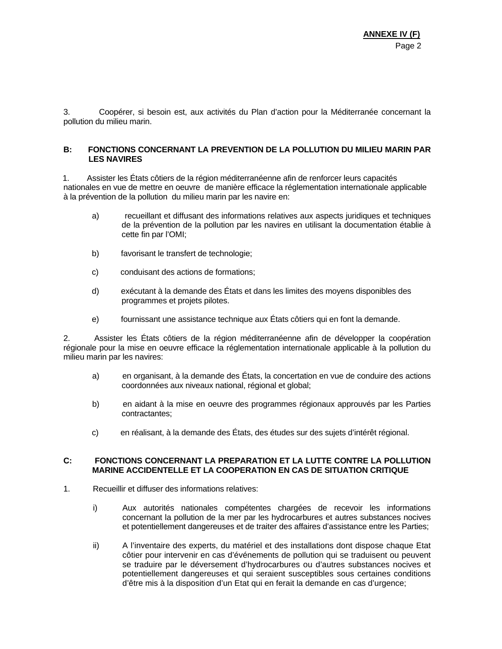3. Coopérer, si besoin est, aux activités du Plan d'action pour la Méditerranée concernant la pollution du milieu marin.

#### **B: FONCTIONS CONCERNANT LA PREVENTION DE LA POLLUTION DU MILIEU MARIN PAR LES NAVIRES**

1. Assister les États côtiers de la région méditerranéenne afin de renforcer leurs capacités nationales en vue de mettre en oeuvre de manière efficace la réglementation internationale applicable à la prévention de la pollution du milieu marin par les navire en:

- a) recueillant et diffusant des informations relatives aux aspects juridiques et techniques de la prévention de la pollution par les navires en utilisant la documentation établie à cette fin par l'OMI;
- b) favorisant le transfert de technologie;
- c) conduisant des actions de formations;
- d) exécutant à la demande des États et dans les limites des moyens disponibles des programmes et projets pilotes.
- e) fournissant une assistance technique aux États côtiers qui en font la demande.

2. Assister les États côtiers de la région méditerranéenne afin de développer la coopération régionale pour la mise en oeuvre efficace la réglementation internationale applicable à la pollution du milieu marin par les navires:

- a) en organisant, à la demande des États, la concertation en vue de conduire des actions coordonnées aux niveaux national, régional et global;
- b) en aidant à la mise en oeuvre des programmes régionaux approuvés par les Parties contractantes;
- c) en réalisant, à la demande des États, des études sur des sujets d'intérêt régional.

#### **C: FONCTIONS CONCERNANT LA PREPARATION ET LA LUTTE CONTRE LA POLLUTION MARINE ACCIDENTELLE ET LA COOPERATION EN CAS DE SITUATION CRITIQUE**

- 1. Recueillir et diffuser des informations relatives:
	- i) Aux autorités nationales compétentes chargées de recevoir les informations concernant la pollution de la mer par les hydrocarbures et autres substances nocives et potentiellement dangereuses et de traiter des affaires d'assistance entre les Parties;
	- ii) A l'inventaire des experts, du matériel et des installations dont dispose chaque Etat côtier pour intervenir en cas d'événements de pollution qui se traduisent ou peuvent se traduire par le déversement d'hydrocarbures ou d'autres substances nocives et potentiellement dangereuses et qui seraient susceptibles sous certaines conditions d'être mis à la disposition d'un Etat qui en ferait la demande en cas d'urgence;